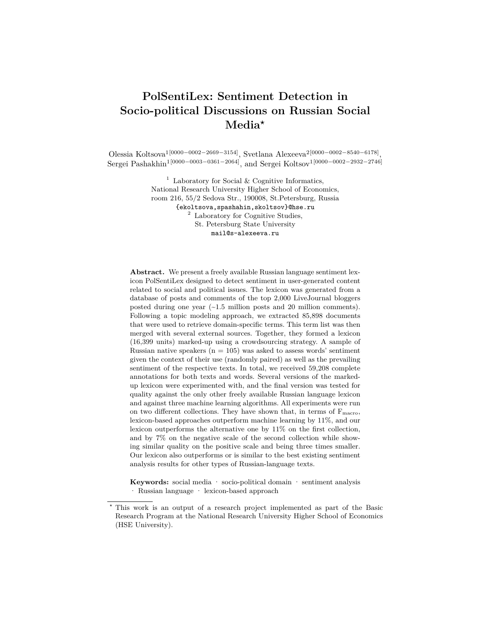# **PolSentiLex: Sentiment Detection in Socio-political Discussions on Russian Social Media***<sup>⋆</sup>*

Olessia Koltsova1[0000*−*0002*−*2669*−*3154], Svetlana Alexeeva2[0000*−*0002*−*8540*−*6178] , Sergei Pashakhin1[0000*−*0003*−*0361*−*2064], and Sergei Koltsov1[0000*−*0002*−*2932*−*2746]

> <sup>1</sup> Laboratory for Social  $&$  Cognitive Informatics, National Research University Higher School of Economics, room 216, 55/2 Sedova Str., 190008, St.Petersburg, Russia {ekoltsova,spashahin,skoltsov}@hse.ru <sup>2</sup> Laboratory for Cognitive Studies, St. Petersburg State University mail@s-alexeeva.ru

**Abstract.** We present a freely available Russian language sentiment lexicon PolSentiLex designed to detect sentiment in user-generated content related to social and political issues. The lexicon was generated from a database of posts and comments of the top 2,000 LiveJournal bloggers posted during one year (~1.5 million posts and 20 million comments). Following a topic modeling approach, we extracted 85,898 documents that were used to retrieve domain-specific terms. This term list was then merged with several external sources. Together, they formed a lexicon (16,399 units) marked-up using a crowdsourcing strategy. A sample of Russian native speakers ( $n = 105$ ) was asked to assess words' sentiment given the context of their use (randomly paired) as well as the prevailing sentiment of the respective texts. In total, we received 59,208 complete annotations for both texts and words. Several versions of the markedup lexicon were experimented with, and the final version was tested for quality against the only other freely available Russian language lexicon and against three machine learning algorithms. All experiments were run on two different collections. They have shown that, in terms of  $F_{macro}$ , lexicon-based approaches outperform machine learning by 11%, and our lexicon outperforms the alternative one by 11% on the first collection, and by 7% on the negative scale of the second collection while showing similar quality on the positive scale and being three times smaller. Our lexicon also outperforms or is similar to the best existing sentiment analysis results for other types of Russian-language texts.

**Keywords:** social media · socio-political domain · sentiment analysis · Russian language · lexicon-based approach

This work is an output of a research project implemented as part of the Basic Research Program at the National Research University Higher School of Economics (HSE University).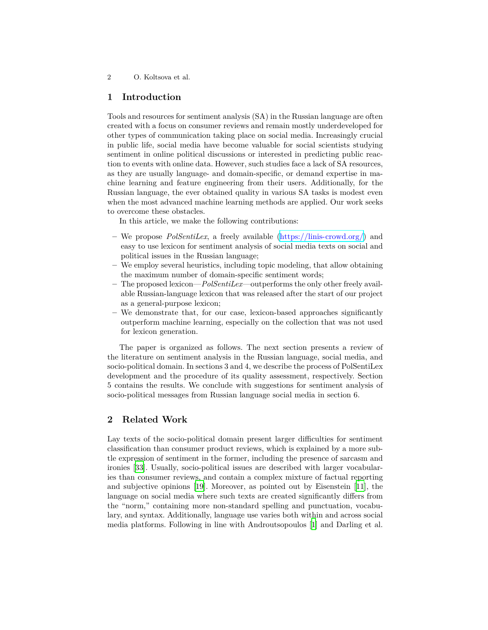## **1 Introduction**

Tools and resources for sentiment analysis (SA) in the Russian language are often created with a focus on consumer reviews and remain mostly underdeveloped for other types of communication taking place on social media. Increasingly crucial in public life, social media have become valuable for social scientists studying sentiment in online political discussions or interested in predicting public reaction to events with online data. However, such studies face a lack of SA resources, as they are usually language- and domain-specific, or demand expertise in machine learning and feature engineering from their users. Additionally, for the Russian language, the ever obtained quality in various SA tasks is modest even when the most advanced machine learning methods are applied. Our work seeks to overcome these obstacles.

In this article, we make the following contributions:

- **–** We propose *PolSentiLex*, a freely available [\(https://linis-crowd.org/](https://linis-crowd.org/)) and easy to use lexicon for sentiment analysis of social media texts on social and political issues in the Russian language;
- **–** We employ several heuristics, including topic modeling, that allow obtaining the maximum number of domain-specific sentiment words;
- **–** The proposed lexicon—*PolSentiLex*—outperforms the only other freely available Russian-language lexicon that was released after the start of our project as a general-purpose lexicon;
- **–** We demonstrate that, for our case, lexicon-based approaches significantly outperform machine learning, especially on the collection that was not used for lexicon generation.

The paper is organized as follows. The next section presents a review of the literature on sentiment analysis in the Russian language, social media, and socio-political domain. In sections 3 and 4, we describe the process of PolSentiLex development and the procedure of its quality assessment, respectively. Section 5 contains the results. We conclude with suggestions for sentiment analysis of socio-political messages from Russian language social media in section 6.

# **2 Related Work**

Lay texts of the socio-political domain present larger difficulties for sentiment classification than consumer product reviews, which is explained by a more subtle expression of sentiment in the former, including the presence of sarcasm and ironies [[33\]](#page-16-0). Usually, socio-political issues are described with larger vocabularies than consumer reviews, and contain a complex mixture of factual reporting and subjective opinions [[19](#page-14-0)]. Moreover, as pointed out by Eisenstein [\[11\]](#page-14-1), the language on social media where such texts are created significantly differs from the "norm," containing more non-standard spelling and punctuation, vocabulary, and syntax. Additionally, language use varies both within and across social media platforms. Following in line with Androutsopoulos [\[1](#page-13-0)] and Darling et al.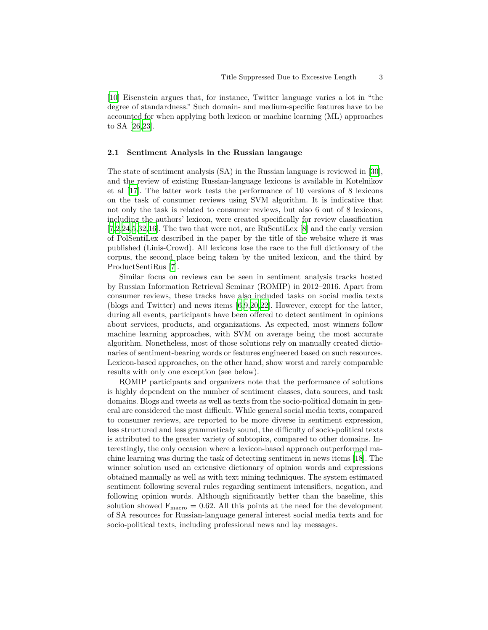[[10](#page-14-2)] Eisenstein argues that, for instance, Twitter language varies a lot in "the degree of standardness." Such domain- and medium-specific features have to be accounted for when applying both lexicon or machine learning (ML) approaches to SA [\[26](#page-15-0),[23\]](#page-15-1).

## **2.1 Sentiment Analysis in the Russian langauge**

The state of sentiment analysis (SA) in the Russian language is reviewed in [\[30](#page-15-2)], and the review of existing Russian-language lexicons is available in Kotelnikov et al [\[17](#page-14-3)]. The latter work tests the performance of 10 versions of 8 lexicons on the task of consumer reviews using SVM algorithm. It is indicative that not only the task is related to consumer reviews, but also 6 out of 8 lexicons, including the authors' lexicon, were created specifically for review classification [[7,](#page-14-4)[2](#page-13-1)[,24,](#page-15-3)[5,](#page-13-2)[32](#page-15-4)[,16](#page-14-5)]. The two that were not, are RuSentiLex [\[8](#page-14-6)] and the early version of PolSentiLex described in the paper by the title of the website where it was published (Linis-Crowd). All lexicons lose the race to the full dictionary of the corpus, the second place being taken by the united lexicon, and the third by ProductSentiRus [[7\]](#page-14-4).

Similar focus on reviews can be seen in sentiment analysis tracks hosted by Russian Information Retrieval Seminar (ROMIP) in 2012–2016. Apart from consumer reviews, these tracks have also included tasks on social media texts (blogs and Twitter) and news items [[6](#page-13-3)[,9](#page-14-7)[,20,](#page-14-8)[22\]](#page-15-5). However, except for the latter, during all events, participants have been offered to detect sentiment in opinions about services, products, and organizations. As expected, most winners follow machine learning approaches, with SVM on average being the most accurate algorithm. Nonetheless, most of those solutions rely on manually created dictionaries of sentiment-bearing words or features engineered based on such resources. Lexicon-based approaches, on the other hand, show worst and rarely comparable results with only one exception (see below).

ROMIP participants and organizers note that the performance of solutions is highly dependent on the number of sentiment classes, data sources, and task domains. Blogs and tweets as well as texts from the socio-political domain in general are considered the most difficult. While general social media texts, compared to consumer reviews, are reported to be more diverse in sentiment expression, less structured and less grammaticaly sound, the difficulty of socio-political texts is attributed to the greater variety of subtopics, compared to other domains. Interestingly, the only occasion where a lexicon-based approach outperformed machine learning was during the task of detecting sentiment in news items [\[18](#page-14-9)]. The winner solution used an extensive dictionary of opinion words and expressions obtained manually as well as with text mining techniques. The system estimated sentiment following several rules regarding sentiment intensifiers, negation, and following opinion words. Although significantly better than the baseline, this solution showed  $F_{\text{macro}} = 0.62$ . All this points at the need for the development of SA resources for Russian-language general interest social media texts and for socio-political texts, including professional news and lay messages.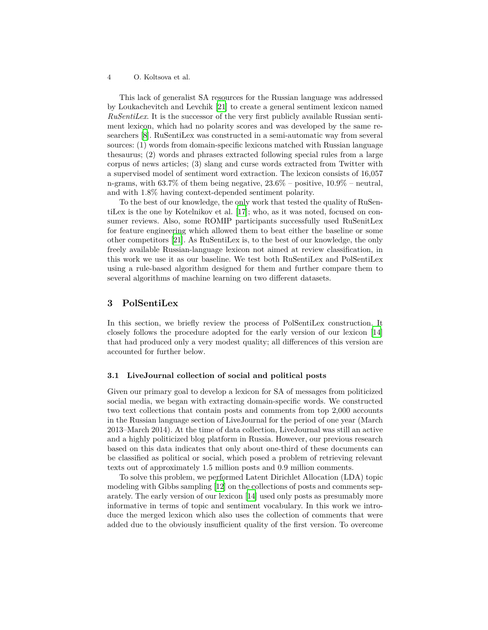This lack of generalist SA resources for the Russian language was addressed by Loukachevitch and Levchik [\[21](#page-15-6)] to create a general sentiment lexicon named *RuSentiLex*. It is the successor of the very first publicly available Russian sentiment lexicon, which had no polarity scores and was developed by the same researchers [[8\]](#page-14-6). RuSentiLex was constructed in a semi-automatic way from several sources: (1) words from domain-specific lexicons matched with Russian language thesaurus; (2) words and phrases extracted following special rules from a large corpus of news articles; (3) slang and curse words extracted from Twitter with a supervised model of sentiment word extraction. The lexicon consists of 16,057 n-grams, with 63.7% of them being negative, 23.6% – positive, 10.9% – neutral, and with 1.8% having context-depended sentiment polarity.

To the best of our knowledge, the only work that tested the quality of RuSentiLex is the one by Kotelnikov et al. [\[17](#page-14-3)]; who, as it was noted, focused on consumer reviews. Also, some ROMIP participants successfully used RuSenitLex for feature engineering which allowed them to beat either the baseline or some other competitors [[21\]](#page-15-6). As RuSentiLex is, to the best of our knowledge, the only freely available Russian-language lexicon not aimed at review classification, in this work we use it as our baseline. We test both RuSentiLex and PolSentiLex using a rule-based algorithm designed for them and further compare them to several algorithms of machine learning on two different datasets.

## **3 PolSentiLex**

In this section, we briefly review the process of PolSentiLex construction. It closely follows the procedure adopted for the early version of our lexicon [[14\]](#page-14-10) that had produced only a very modest quality; all differences of this version are accounted for further below.

#### **3.1 LiveJournal collection of social and political posts**

Given our primary goal to develop a lexicon for SA of messages from politicized social media, we began with extracting domain-specific words. We constructed two text collections that contain posts and comments from top 2,000 accounts in the Russian language section of LiveJournal for the period of one year (March 2013–March 2014). At the time of data collection, LiveJournal was still an active and a highly politicized blog platform in Russia. However, our previous research based on this data indicates that only about one-third of these documents can be classified as political or social, which posed a problem of retrieving relevant texts out of approximately 1.5 million posts and 0.9 million comments.

To solve this problem, we performed Latent Dirichlet Allocation (LDA) topic modeling with Gibbs sampling [\[12\]](#page-14-11) on the collections of posts and comments separately. The early version of our lexicon [\[14](#page-14-10)] used only posts as presumably more informative in terms of topic and sentiment vocabulary. In this work we introduce the merged lexicon which also uses the collection of comments that were added due to the obviously insufficient quality of the first version. To overcome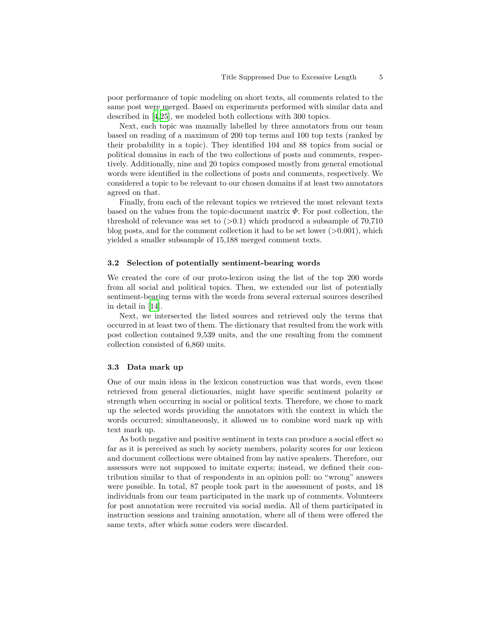poor performance of topic modeling on short texts, all comments related to the same post were merged. Based on experiments performed with similar data and described in [\[4](#page-13-4),[25\]](#page-15-7), we modeled both collections with 300 topics.

Next, each topic was manually labelled by three annotators from our team based on reading of a maximum of 200 top terms and 100 top texts (ranked by their probability in a topic). They identified 104 and 88 topics from social or political domains in each of the two collections of posts and comments, respectively. Additionally, nine and 20 topics composed mostly from general emotional words were identified in the collections of posts and comments, respectively. We considered a topic to be relevant to our chosen domains if at least two annotators agreed on that.

Finally, from each of the relevant topics we retrieved the most relevant texts based on the values from the topic-document matrix *Φ*. For post collection, the threshold of relevance was set to  $(>0.1)$  which produced a subsample of 70,710 blog posts, and for the comment collection it had to be set lower  $(>0.001)$ , which yielded a smaller subsample of 15,188 merged comment texts.

## **3.2 Selection of potentially sentiment-bearing words**

We created the core of our proto-lexicon using the list of the top 200 words from all social and political topics. Then, we extended our list of potentially sentiment-bearing terms with the words from several external sources described in detail in [\[14](#page-14-10)].

Next, we intersected the listed sources and retrieved only the terms that occurred in at least two of them. The dictionary that resulted from the work with post collection contained 9,539 units, and the one resulting from the comment collection consisted of 6,860 units.

#### **3.3 Data mark up**

One of our main ideas in the lexicon construction was that words, even those retrieved from general dictionaries, might have specific sentiment polarity or strength when occurring in social or political texts. Therefore, we chose to mark up the selected words providing the annotators with the context in which the words occurred; simultaneously, it allowed us to combine word mark up with text mark up.

As both negative and positive sentiment in texts can produce a social effect so far as it is perceived as such by society members, polarity scores for our lexicon and document collections were obtained from lay native speakers. Therefore, our assessors were not supposed to imitate experts; instead, we defined their contribution similar to that of respondents in an opinion poll: no "wrong" answers were possible. In total, 87 people took part in the assessment of posts, and 18 individuals from our team participated in the mark up of comments. Volunteers for post annotation were recruited via social media. All of them participated in instruction sessions and training annotation, where all of them were offered the same texts, after which some coders were discarded.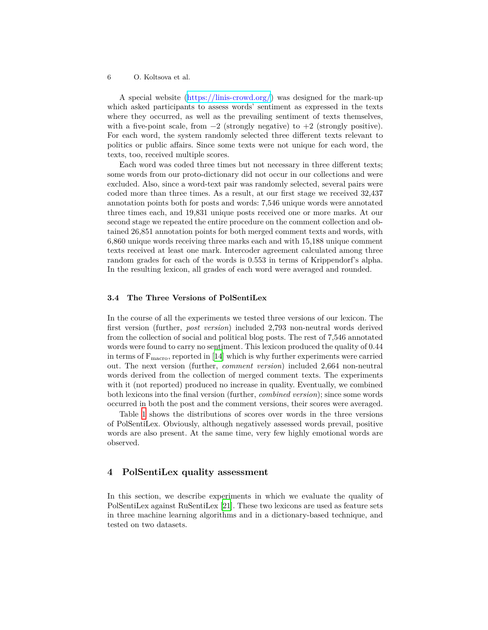A special website ([https://linis-crowd.org/\)](https://linis-crowd.org/) was designed for the mark-up which asked participants to assess words' sentiment as expressed in the texts where they occurred, as well as the prevailing sentiment of texts themselves, with a five-point scale, from  $-2$  (strongly negative) to  $+2$  (strongly positive). For each word, the system randomly selected three different texts relevant to politics or public affairs. Since some texts were not unique for each word, the texts, too, received multiple scores.

Each word was coded three times but not necessary in three different texts; some words from our proto-dictionary did not occur in our collections and were excluded. Also, since a word-text pair was randomly selected, several pairs were coded more than three times. As a result, at our first stage we received 32,437 annotation points both for posts and words: 7,546 unique words were annotated three times each, and 19,831 unique posts received one or more marks. At our second stage we repeated the entire procedure on the comment collection and obtained 26,851 annotation points for both merged comment texts and words, with 6,860 unique words receiving three marks each and with 15,188 unique comment texts received at least one mark. Intercoder agreement calculated among three random grades for each of the words is 0.553 in terms of Krippendorf's alpha. In the resulting lexicon, all grades of each word were averaged and rounded.

## **3.4 The Three Versions of PolSentiLex**

In the course of all the experiments we tested three versions of our lexicon. The first version (further, *post version*) included 2,793 non-neutral words derived from the collection of social and political blog posts. The rest of 7,546 annotated words were found to carry no sentiment. This lexicon produced the quality of 0.44 interms of  $F_{macro}$ , reported in [[14\]](#page-14-10) which is why further experiments were carried out. The next version (further, *comment version*) included 2,664 non-neutral words derived from the collection of merged comment texts. The experiments with it (not reported) produced no increase in quality. Eventually, we combined both lexicons into the final version (further, *combined version*); since some words occurred in both the post and the comment versions, their scores were averaged.

Table [1](#page-6-0) shows the distributions of scores over words in the three versions of PolSentiLex. Obviously, although negatively assessed words prevail, positive words are also present. At the same time, very few highly emotional words are observed.

# **4 PolSentiLex quality assessment**

In this section, we describe experiments in which we evaluate the quality of PolSentiLex against RuSentiLex [\[21](#page-15-6)]. These two lexicons are used as feature sets in three machine learning algorithms and in a dictionary-based technique, and tested on two datasets.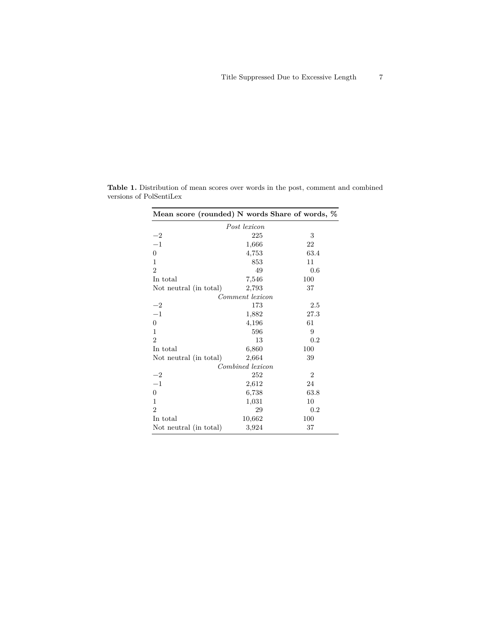$\overline{\phantom{a}}$ 

<span id="page-6-0"></span>

| Mean score (rounded) N words Share of words, % |        |                |  |  |  |  |  |
|------------------------------------------------|--------|----------------|--|--|--|--|--|
| Post lexicon                                   |        |                |  |  |  |  |  |
| $^{-2}$                                        | 225    | 3              |  |  |  |  |  |
| $-1$                                           | 1,666  | 22             |  |  |  |  |  |
| $\theta$                                       | 4,753  | 63.4           |  |  |  |  |  |
| 1                                              | 853    | 11             |  |  |  |  |  |
| $\overline{2}$                                 | 49     | 0.6            |  |  |  |  |  |
| In total                                       | 7,546  | 100            |  |  |  |  |  |
| Not neutral (in total)                         | 2,793  | 37             |  |  |  |  |  |
| Comment lexicon                                |        |                |  |  |  |  |  |
| $^{-2}$                                        | 173    | 2.5            |  |  |  |  |  |
| $-1$                                           | 1,882  | 27.3           |  |  |  |  |  |
| 0                                              | 4,196  | 61             |  |  |  |  |  |
| 1                                              | 596    | 9              |  |  |  |  |  |
| $\overline{2}$                                 | 13     | 0.2            |  |  |  |  |  |
| In total                                       | 6,860  | 100            |  |  |  |  |  |
| Not neutral (in total)                         | 2,664  | 39             |  |  |  |  |  |
| Combined lexicon                               |        |                |  |  |  |  |  |
| $^{-2}$                                        | 252    | $\overline{2}$ |  |  |  |  |  |
| $-1$                                           | 2,612  | 24             |  |  |  |  |  |
| 0                                              | 6,738  | 63.8           |  |  |  |  |  |
| 1                                              | 1,031  | 10             |  |  |  |  |  |
| $\overline{2}$                                 | 29     | 0.2            |  |  |  |  |  |
| In total                                       | 10,662 | 100            |  |  |  |  |  |
| Not neutral (in total)                         | 3,924  | 37             |  |  |  |  |  |

**Table 1.** Distribution of mean scores over words in the post, comment and combined versions of PolSentiLex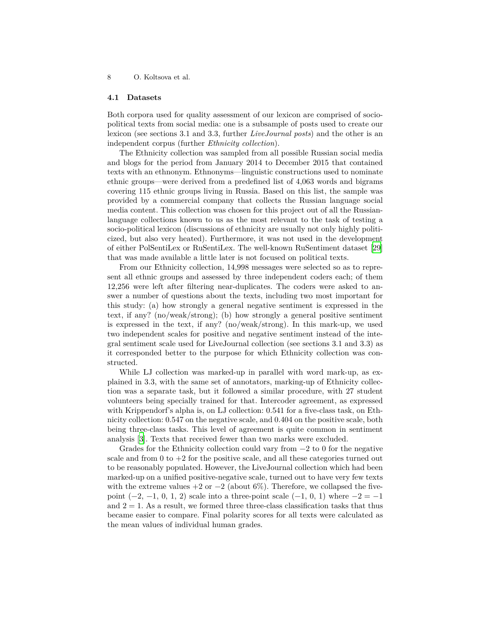#### **4.1 Datasets**

Both corpora used for quality assessment of our lexicon are comprised of sociopolitical texts from social media: one is a subsample of posts used to create our lexicon (see sections 3.1 and 3.3, further *LiveJournal posts*) and the other is an independent corpus (further *Ethnicity collection*).

The Ethnicity collection was sampled from all possible Russian social media and blogs for the period from January 2014 to December 2015 that contained texts with an ethnonym. Ethnonyms—linguistic constructions used to nominate ethnic groups—were derived from a predefined list of 4,063 words and bigrams covering 115 ethnic groups living in Russia. Based on this list, the sample was provided by a commercial company that collects the Russian language social media content. This collection was chosen for this project out of all the Russianlanguage collections known to us as the most relevant to the task of testing a socio-political lexicon (discussions of ethnicity are usually not only highly politicized, but also very heated). Furthermore, it was not used in the development of either PolSentiLex or RuSentiLex. The well-known RuSentiment dataset [[29\]](#page-15-8) that was made available a little later is not focused on political texts.

From our Ethnicity collection, 14,998 messages were selected so as to represent all ethnic groups and assessed by three independent coders each; of them 12,256 were left after filtering near-duplicates. The coders were asked to answer a number of questions about the texts, including two most important for this study: (a) how strongly a general negative sentiment is expressed in the text, if any? (no/weak/strong); (b) how strongly a general positive sentiment is expressed in the text, if any? (no/weak/strong). In this mark-up, we used two independent scales for positive and negative sentiment instead of the integral sentiment scale used for LiveJournal collection (see sections 3.1 and 3.3) as it corresponded better to the purpose for which Ethnicity collection was constructed.

While LJ collection was marked-up in parallel with word mark-up, as explained in 3.3, with the same set of annotators, marking-up of Ethnicity collection was a separate task, but it followed a similar procedure, with 27 student volunteers being specially trained for that. Intercoder agreement, as expressed with Krippendorf's alpha is, on LJ collection: 0.541 for a five-class task, on Ethnicity collection: 0.547 on the negative scale, and 0.404 on the positive scale, both being three-class tasks. This level of agreement is quite common in sentiment analysis[[3\]](#page-13-5). Texts that received fewer than two marks were excluded.

Grades for the Ethnicity collection could vary from  $-2$  to 0 for the negative scale and from  $0$  to  $+2$  for the positive scale, and all these categories turned out to be reasonably populated. However, the LiveJournal collection which had been marked-up on a unified positive-negative scale, turned out to have very few texts with the extreme values  $+2$  or  $-2$  (about 6%). Therefore, we collapsed the fivepoint  $(-2, -1, 0, 1, 2)$  scale into a three-point scale  $(-1, 0, 1)$  where  $-2 = -1$ and  $2 = 1$ . As a result, we formed three three-class classification tasks that thus became easier to compare. Final polarity scores for all texts were calculated as the mean values of individual human grades.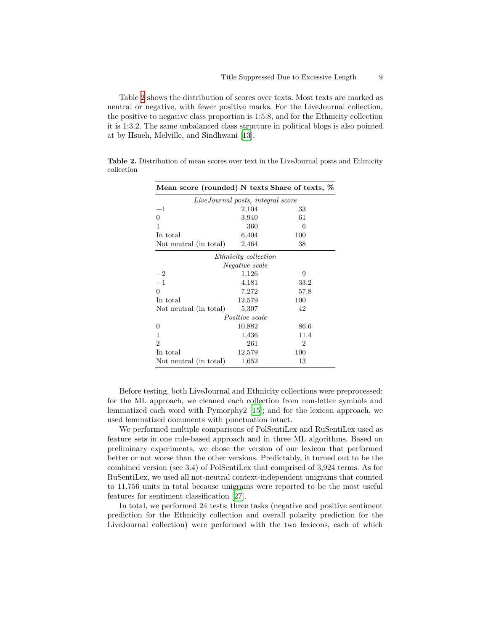Table [2](#page-8-0) shows the distribution of scores over texts. Most texts are marked as neutral or negative, with fewer positive marks. For the LiveJournal collection, the positive to negative class proportion is 1:5.8, and for the Ethnicity collection it is 1:3.2. The same unbalanced class structure in political blogs is also pointed at by Hsueh, Melville, and Sindhwani [\[13](#page-14-12)].

<span id="page-8-0"></span>

| Mean score (rounded) N texts Share of texts, % |        |                |  |  |  |  |
|------------------------------------------------|--------|----------------|--|--|--|--|
| LiveJournal posts, integral score              |        |                |  |  |  |  |
| $^{-1}$                                        | 2,104  | 33             |  |  |  |  |
| 0                                              | 3,940  | 61             |  |  |  |  |
| 1                                              | 360    | 6              |  |  |  |  |
| In total                                       | 6,404  | 100            |  |  |  |  |
| Not neutral (in total)                         | 2,464  | 38             |  |  |  |  |
| <i>Ethnicity collection</i>                    |        |                |  |  |  |  |
| <i>Negative scale</i>                          |        |                |  |  |  |  |
| $-2$                                           | 1,126  | 9              |  |  |  |  |
| $-1$                                           | 4,181  | 33.2           |  |  |  |  |
| 0                                              | 7,272  | 57.8           |  |  |  |  |
| In total                                       | 12,579 | 100            |  |  |  |  |
| Not neutral (in total)                         | 5,307  | 42             |  |  |  |  |
| <i>Positive scale</i>                          |        |                |  |  |  |  |
| $\theta$                                       | 10,882 | 86.6           |  |  |  |  |
| 1                                              | 1,436  | 11.4           |  |  |  |  |
| $\overline{2}$                                 | 261    | $\overline{2}$ |  |  |  |  |
| In total                                       | 12,579 | 100            |  |  |  |  |
| Not neutral (in total)                         | 1,652  | 13             |  |  |  |  |

**Table 2.** Distribution of mean scores over text in the LiveJournal posts and Ethnicity collection

Before testing, both LiveJournal and Ethnicity collections were preprocessed: for the ML approach, we cleaned each collection from non-letter symbols and lemmatized each word with Pymorphy2 [\[15](#page-14-13)]; and for the lexicon approach, we used lemmatized documents with punctuation intact.

We performed multiple comparisons of PolSentiLex and RuSentiLex used as feature sets in one rule-based approach and in three ML algorithms. Based on preliminary experiments, we chose the version of our lexicon that performed better or not worse than the other versions. Predictably, it turned out to be the combined version (see 3.4) of PolSentiLex that comprised of 3,924 terms. As for RuSentiLex, we used all not-neutral context-independent unigrams that counted to 11,756 units in total because unigrams were reported to be the most useful features for sentiment classification [[27\]](#page-15-9).

In total, we performed 24 tests: three tasks (negative and positive sentiment prediction for the Ethnicity collection and overall polarity prediction for the LiveJournal collection) were performed with the two lexicons, each of which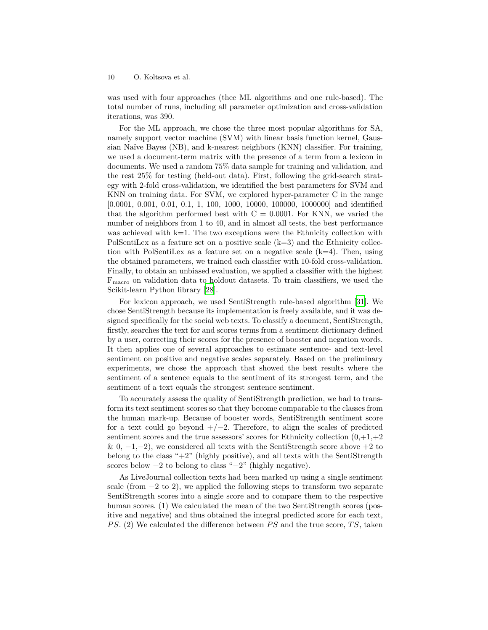was used with four approaches (thee ML algorithms and one rule-based). The total number of runs, including all parameter optimization and cross-validation iterations, was 390.

For the ML approach, we chose the three most popular algorithms for SA, namely support vector machine (SVM) with linear basis function kernel, Gaussian Naïve Bayes (NB), and k-nearest neighbors (KNN) classifier. For training, we used a document-term matrix with the presence of a term from a lexicon in documents. We used a random 75% data sample for training and validation, and the rest 25% for testing (held-out data). First, following the grid-search strategy with 2-fold cross-validation, we identified the best parameters for SVM and KNN on training data. For SVM, we explored hyper-parameter C in the range [0.0001, 0.001, 0.01, 0.1, 1, 100, 1000, 10000, 100000, 1000000] and identified that the algorithm performed best with  $C = 0.0001$ . For KNN, we varied the number of neighbors from 1 to 40, and in almost all tests, the best performance was achieved with  $k=1$ . The two exceptions were the Ethnicity collection with PolSentiLex as a feature set on a positive scale (k=3) and the Ethnicity collection with PolSentiLex as a feature set on a negative scale  $(k=4)$ . Then, using the obtained parameters, we trained each classifier with 10-fold cross-validation. Finally, to obtain an unbiased evaluation, we applied a classifier with the highest  $F_{macro}$  on validation data to holdout datasets. To train classifiers, we used the Scikit-learn Python library [\[28](#page-15-10)].

For lexicon approach, we used SentiStrength rule-based algorithm [\[31](#page-15-11)]. We chose SentiStrength because its implementation is freely available, and it was designed specifically for the social web texts. To classify a document, SentiStrength, firstly, searches the text for and scores terms from a sentiment dictionary defined by a user, correcting their scores for the presence of booster and negation words. It then applies one of several approaches to estimate sentence- and text-level sentiment on positive and negative scales separately. Based on the preliminary experiments, we chose the approach that showed the best results where the sentiment of a sentence equals to the sentiment of its strongest term, and the sentiment of a text equals the strongest sentence sentiment.

To accurately assess the quality of SentiStrength prediction, we had to transform its text sentiment scores so that they become comparable to the classes from the human mark-up. Because of booster words, SentiStrength sentiment score for a text could go beyond  $+/-2$ . Therefore, to align the scales of predicted sentiment scores and the true assessors' scores for Ethnicity collection  $(0, +1, +2)$ & 0,  $-1, -2$ ), we considered all texts with the SentiStrength score above  $+2$  to belong to the class "+2" (highly positive), and all texts with the SentiStrength scores below  $-2$  to belong to class " $-2$ " (highly negative).

As LiveJournal collection texts had been marked up using a single sentiment scale (from  $-2$  to 2), we applied the following steps to transform two separate SentiStrength scores into a single score and to compare them to the respective human scores. (1) We calculated the mean of the two SentiStrength scores (positive and negative) and thus obtained the integral predicted score for each text, *PS*. (2) We calculated the difference between *PS* and the true score, *TS*, taken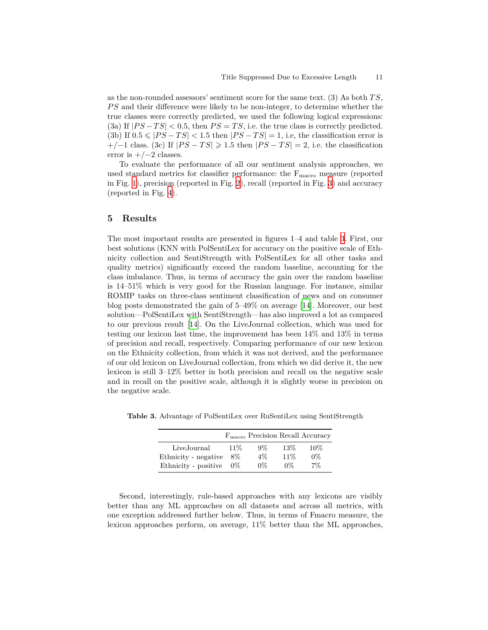as the non-rounded assessors' sentiment score for the same text. (3) As both *T S*, *P S* and their difference were likely to be non-integer, to determine whether the true classes were correctly predicted, we used the following logical expressions: (3a) If  $|PS - TS| < 0.5$ , then  $PS = TS$ , i.e. the true class is correctly predicted. (3b) If  $0.5 \leq |PS - TS| < 1.5$  then  $|PS - TS| = 1$ , i.e, the classification error is +/−1 class. (3c) If *|P S − T S|* ⩾ 1*.*5 then *|P S − T S|* = 2, i.e. the classification error is  $+/-2$  classes.

To evaluate the performance of all our sentiment analysis approaches, we used standard metrics for classifier performance: the  $F_{\text{macro}}$  measure (reported in Fig. [1\)](#page-12-0), precision (reported in Fig. [2](#page-12-1)), recall (reported in Fig. [3\)](#page-13-6) and accuracy (reported in Fig. [4\)](#page-13-7).

## **5 Results**

The most important results are presented in figures 1–4 and table [3.](#page-10-0) First, our best solutions (KNN with PolSentiLex for accuracy on the positive scale of Ethnicity collection and SentiStrength with PolSentiLex for all other tasks and quality metrics) significantly exceed the random baseline, accounting for the class imbalance. Thus, in terms of accuracy the gain over the random baseline is 14–51% which is very good for the Russian language. For instance, similar ROMIP tasks on three-class sentiment classification of news and on consumer blog posts demonstrated the gain of 5–49% on average [\[14](#page-14-10)]. Moreover, our best solution—PolSentiLex with SentiStrength—has also improved a lot as compared to our previous result [[14\]](#page-14-10). On the LiveJournal collection, which was used for testing our lexicon last time, the improvement has been 14% and 13% in terms of precision and recall, respectively. Comparing performance of our new lexicon on the Ethnicity collection, from which it was not derived, and the performance of our old lexicon on LiveJournal collection, from which we did derive it, the new lexicon is still 3–12% better in both precision and recall on the negative scale and in recall on the positive scale, although it is slightly worse in precision on the negative scale.

<span id="page-10-0"></span>

|                      |        |       |        | $F_{\text{macro}}$ Precision Recall Accuracy |
|----------------------|--------|-------|--------|----------------------------------------------|
| LiveJournal          | $11\%$ | $9\%$ | 13%    | $10\%$                                       |
| Ethnicity - negative | 8%     | $4\%$ | $11\%$ | $0\%$                                        |
| Ethnicity - positive | $0\%$  | 0%    | 0%     | 7%                                           |

**Table 3.** Advantage of PolSentiLex over RuSentiLex using SentiStrength

Second, interestingly, rule-based approaches with any lexicons are visibly better than any ML approaches on all datasets and across all metrics, with one exception addressed further below. Thus, in terms of Fmacro measure, the lexicon approaches perform, on average, 11% better than the ML approaches,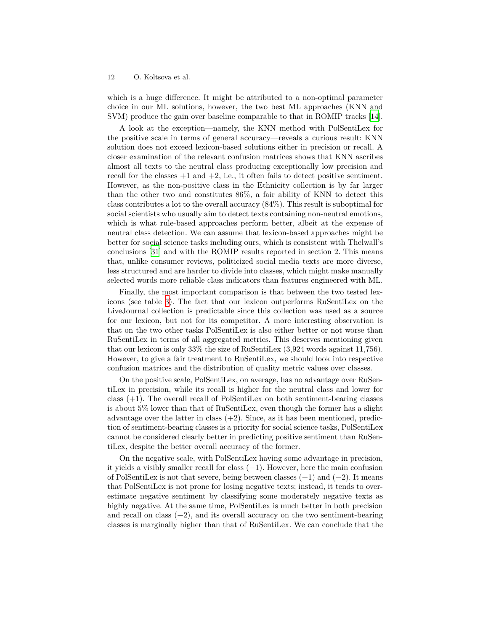which is a huge difference. It might be attributed to a non-optimal parameter choice in our ML solutions, however, the two best ML approaches (KNN and SVM) produce the gain over baseline comparable to that in ROMIP tracks [\[14](#page-14-10)].

A look at the exception—namely, the KNN method with PolSentiLex for the positive scale in terms of general accuracy—reveals a curious result: KNN solution does not exceed lexicon-based solutions either in precision or recall. A closer examination of the relevant confusion matrices shows that KNN ascribes almost all texts to the neutral class producing exceptionally low precision and recall for the classes  $+1$  and  $+2$ , i.e., it often fails to detect positive sentiment. However, as the non-positive class in the Ethnicity collection is by far larger than the other two and constitutes 86%, a fair ability of KNN to detect this class contributes a lot to the overall accuracy (84%). This result is suboptimal for social scientists who usually aim to detect texts containing non-neutral emotions, which is what rule-based approaches perform better, albeit at the expense of neutral class detection. We can assume that lexicon-based approaches might be better for social science tasks including ours, which is consistent with Thelwall's conclusions [[31\]](#page-15-11) and with the ROMIP results reported in section 2. This means that, unlike consumer reviews, politicized social media texts are more diverse, less structured and are harder to divide into classes, which might make manually selected words more reliable class indicators than features engineered with ML.

Finally, the most important comparison is that between the two tested lexicons (see table [3](#page-10-0)). The fact that our lexicon outperforms RuSentiLex on the LiveJournal collection is predictable since this collection was used as a source for our lexicon, but not for its competitor. A more interesting observation is that on the two other tasks PolSentiLex is also either better or not worse than RuSentiLex in terms of all aggregated metrics. This deserves mentioning given that our lexicon is only 33% the size of RuSentiLex (3,924 words against 11,756). However, to give a fair treatment to RuSentiLex, we should look into respective confusion matrices and the distribution of quality metric values over classes.

On the positive scale, PolSentiLex, on average, has no advantage over RuSentiLex in precision, while its recall is higher for the neutral class and lower for class (+1). The overall recall of PolSentiLex on both sentiment-bearing classes is about 5% lower than that of RuSentiLex, even though the former has a slight advantage over the latter in class  $(+2)$ . Since, as it has been mentioned, prediction of sentiment-bearing classes is a priority for social science tasks, PolSentiLex cannot be considered clearly better in predicting positive sentiment than RuSentiLex, despite the better overall accuracy of the former.

On the negative scale, with PolSentiLex having some advantage in precision, it yields a visibly smaller recall for class (−1). However, here the main confusion of PolSentiLex is not that severe, being between classes  $(-1)$  and  $(-2)$ . It means that PolSentiLex is not prone for losing negative texts; instead, it tends to overestimate negative sentiment by classifying some moderately negative texts as highly negative. At the same time, PolSentiLex is much better in both precision and recall on class  $(-2)$ , and its overall accuracy on the two sentiment-bearing classes is marginally higher than that of RuSentiLex. We can conclude that the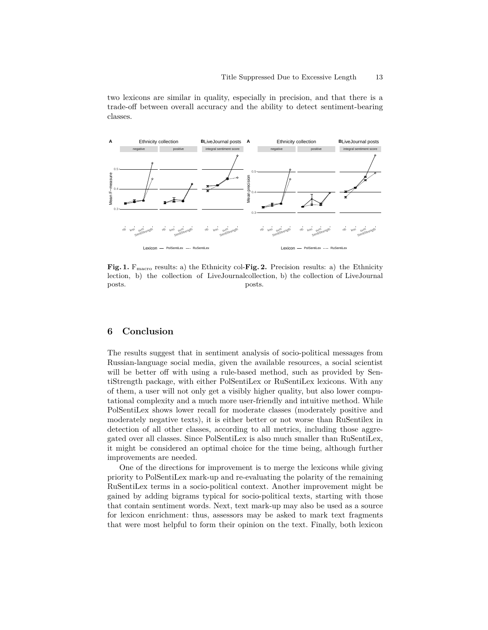two lexicons are similar in quality, especially in precision, and that there is a trade-off between overall accuracy and the ability to detect sentiment-bearing classes.



<span id="page-12-1"></span><span id="page-12-0"></span>Fig. 1. F<sub>macro</sub> results: a) the Ethnicity col-Fig. 2. Precision results: a) the Ethnicity lection, b) the collection of LiveJournal collection, b) the collection of LiveJournal posts. posts.

## **6 Conclusion**

The results suggest that in sentiment analysis of socio-political messages from Russian-language social media, given the available resources, a social scientist will be better off with using a rule-based method, such as provided by SentiStrength package, with either PolSentiLex or RuSentiLex lexicons. With any of them, a user will not only get a visibly higher quality, but also lower computational complexity and a much more user-friendly and intuitive method. While PolSentiLex shows lower recall for moderate classes (moderately positive and moderately negative texts), it is either better or not worse than RuSentilex in detection of all other classes, according to all metrics, including those aggregated over all classes. Since PolSentiLex is also much smaller than RuSentiLex, it might be considered an optimal choice for the time being, although further improvements are needed.

One of the directions for improvement is to merge the lexicons while giving priority to PolSentiLex mark-up and re-evaluating the polarity of the remaining RuSentiLex terms in a socio-political context. Another improvement might be gained by adding bigrams typical for socio-political texts, starting with those that contain sentiment words. Next, text mark-up may also be used as a source for lexicon enrichment: thus, assessors may be asked to mark text fragments that were most helpful to form their opinion on the text. Finally, both lexicon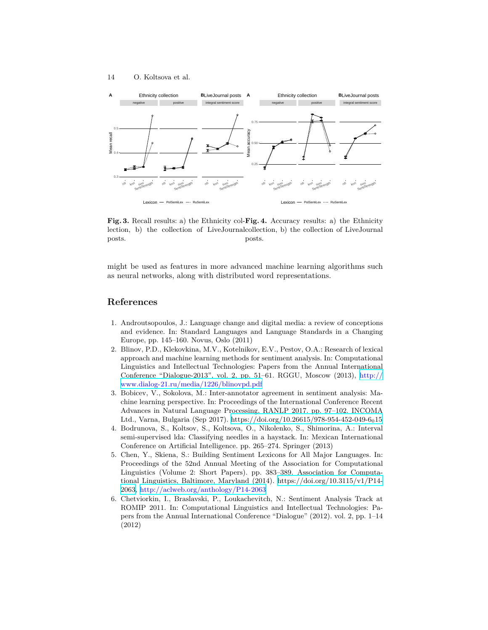



<span id="page-13-7"></span><span id="page-13-6"></span>**Fig. 3.** Recall results: a) the Ethnicity col-**Fig. 4.** Accuracy results: a) the Ethnicity lection, b) the collection of LiveJournal collection, b) the collection of LiveJournal posts. posts.

might be used as features in more advanced machine learning algorithms such as neural networks, along with distributed word representations.

# **References**

- <span id="page-13-0"></span>1. Androutsopoulos, J.: Language change and digital media: a review of conceptions and evidence. In: Standard Languages and Language Standards in a Changing Europe, pp. 145–160. Novus, Oslo (2011)
- <span id="page-13-1"></span>2. Blinov, P.D., Klekovkina, M.V., Kotelnikov, E.V., Pestov, O.A.: Research of lexical approach and machine learning methods for sentiment analysis. In: Computational Linguistics and Intellectual Technologies: Papers from the Annual International Conference "Dialogue-2013", vol. 2, pp. 51–61. RGGU, Moscow (2013), [http://](http://www.dialog-21.ru/media/1226/blinovpd.pdf) [www.dialog-21.ru/media/1226/blinovpd.pdf](http://www.dialog-21.ru/media/1226/blinovpd.pdf)
- <span id="page-13-5"></span>3. Bobicev, V., Sokolova, M.: Inter-annotator agreement in sentiment analysis: Machine learning perspective. In: Proceedings of the International Conference Recent Advances in Natural Language Processing, RANLP 2017. pp. 97–102. INCOMA Ltd., Varna, Bulgaria (Sep 2017). [https://doi.org/10.26615/978-954-452-049-6](https://doi.org/10.26615/978-954-452-049-6_015)015
- <span id="page-13-4"></span>4. Bodrunova, S., Koltsov, S., Koltsova, O., Nikolenko, S., Shimorina, A.: Interval semi-supervised lda: Classifying needles in a haystack. In: Mexican International Conference on Artificial Intelligence. pp. 265–274. Springer (2013)
- <span id="page-13-2"></span>5. Chen, Y., Skiena, S.: Building Sentiment Lexicons for All Major Languages. In: Proceedings of the 52nd Annual Meeting of the Association for Computational Linguistics (Volume 2: Short Papers). pp. 383–389. Association for Computational Linguistics, Baltimore, Maryland (2014). [https://doi.org/10.3115/v1/P14-](https://doi.org/10.3115/v1/P14-2063) [2063,](https://doi.org/10.3115/v1/P14-2063) <http://aclweb.org/anthology/P14-2063>
- <span id="page-13-3"></span>6. Chetviorkin, I., Braslavski, P., Loukachevitch, N.: Sentiment Analysis Track at ROMIP 2011. In: Computational Linguistics and Intellectual Technologies: Papers from the Annual International Conference "Dialogue" (2012). vol. 2, pp. 1–14 (2012)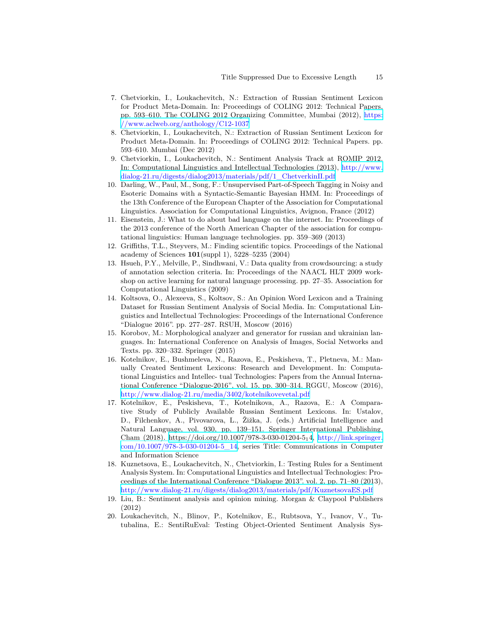- <span id="page-14-4"></span>7. Chetviorkin, I., Loukachevitch, N.: Extraction of Russian Sentiment Lexicon for Product Meta-Domain. In: Proceedings of COLING 2012: Technical Papers, pp. 593–610. The COLING 2012 Organizing Committee, Mumbai (2012), [https:](https://www.aclweb.org/anthology/C12-1037) [//www.aclweb.org/anthology/C12-1037](https://www.aclweb.org/anthology/C12-1037)
- <span id="page-14-6"></span>8. Chetviorkin, I., Loukachevitch, N.: Extraction of Russian Sentiment Lexicon for Product Meta-Domain. In: Proceedings of COLING 2012: Technical Papers. pp. 593–610. Mumbai (Dec 2012)
- <span id="page-14-7"></span>9. Chetviorkin, I., Loukachevitch, N.: Sentiment Analysis Track at ROMIP 2012. In: Computational Linguistics and Intellectual Technologies (2013), [http://www.](http://www.dialog-21.ru/digests/dialog2013/materials/pdf/1_ChetverkinII.pdf) [dialog-21.ru/digests/dialog2013/materials/pdf/1\\_ChetverkinII.pdf](http://www.dialog-21.ru/digests/dialog2013/materials/pdf/1_ChetverkinII.pdf)
- <span id="page-14-2"></span>10. Darling, W., Paul, M., Song, F.: Unsupervised Part-of-Speech Tagging in Noisy and Esoteric Domains with a Syntactic-Semantic Bayesian HMM. In: Proceedings of the 13th Conference of the European Chapter of the Association for Computational Linguistics. Association for Computational Linguistics, Avignon, France (2012)
- <span id="page-14-1"></span>11. Eisenstein, J.: What to do about bad language on the internet. In: Proceedings of the 2013 conference of the North American Chapter of the association for computational linguistics: Human language technologies. pp. 359–369 (2013)
- <span id="page-14-11"></span>12. Griffiths, T.L., Steyvers, M.: Finding scientific topics. Proceedings of the National academy of Sciences **101**(suppl 1), 5228–5235 (2004)
- <span id="page-14-12"></span>13. Hsueh, P.Y., Melville, P., Sindhwani, V.: Data quality from crowdsourcing: a study of annotation selection criteria. In: Proceedings of the NAACL HLT 2009 workshop on active learning for natural language processing. pp. 27–35. Association for Computational Linguistics (2009)
- <span id="page-14-10"></span>14. Koltsova, O., Alexeeva, S., Koltsov, S.: An Opinion Word Lexicon and a Training Dataset for Russian Sentiment Analysis of Social Media. In: Computational Linguistics and Intellectual Technologies: Proceedings of the International Conference "Dialogue 2016". pp. 277–287. RSUH, Moscow (2016)
- <span id="page-14-13"></span>15. Korobov, M.: Morphological analyzer and generator for russian and ukrainian languages. In: International Conference on Analysis of Images, Social Networks and Texts. pp. 320–332. Springer (2015)
- <span id="page-14-5"></span>16. Kotelnikov, E., Bushmeleva, N., Razova, E., Peskisheva, T., Pletneva, M.: Manually Created Sentiment Lexicons: Research and Development. In: Computational Linguistics and Intellec- tual Technologies: Papers from the Annual International Conference "Dialogue-2016", vol. 15, pp. 300–314. RGGU, Moscow (2016), <http://www.dialog-21.ru/media/3402/kotelnikovevetal.pdf>
- <span id="page-14-3"></span>17. Kotelnikov, E., Peskisheva, T., Kotelnikova, A., Razova, E.: A Comparative Study of Publicly Available Russian Sentiment Lexicons. In: Ustalov, D., Filchenkov, A., Pivovarova, L., Žižka, J. (eds.) Artificial Intelligence and Natural Language, vol. 930, pp. 139–151. Springer International Publishing, Cham (2018). [https://doi.org/10.1007/978-3-030-01204-5](https://doi.org/10.1007/978-3-030-01204-5_14)14, [http://link.springer.](http://link.springer.com/10.1007/978-3-030-01204-5_14) [com/10.1007/978-3-030-01204-5\\_14,](http://link.springer.com/10.1007/978-3-030-01204-5_14) series Title: Communications in Computer and Information Science
- <span id="page-14-9"></span>18. Kuznetsova, E., Loukachevitch, N., Chetviorkin, I.: Testing Rules for a Sentiment Analysis System. In: Computational Linguistics and Intellectual Technologies: Proceedings of the International Conference "Dialogue 2013". vol. 2, pp. 71–80 (2013), <http://www.dialog-21.ru/digests/dialog2013/materials/pdf/KuznetsovaES.pdf>
- <span id="page-14-0"></span>19. Liu, B.: Sentiment analysis and opinion mining. Morgan & Claypool Publishers (2012)
- <span id="page-14-8"></span>20. Loukachevitch, N., Blinov, P., Kotelnikov, E., Rubtsova, Y., Ivanov, V., Tutubalina, E.: SentiRuEval: Testing Object-Oriented Sentiment Analysis Sys-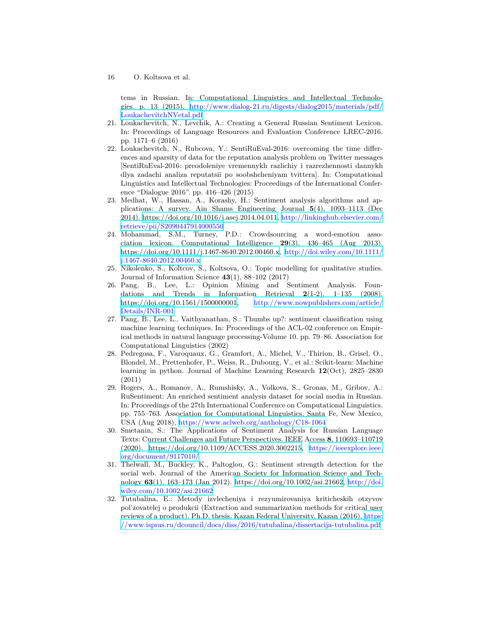tems in Russian. In: Computational Linguistics and Intellectual Technologies. p. 13 (2015), [http://www.dialog-21.ru/digests/dialog2015/materials/pdf/](http://www.dialog-21.ru/digests/dialog2015/materials/pdf/LoukachevitchNVetal.pdf) [LoukachevitchNVetal.pdf](http://www.dialog-21.ru/digests/dialog2015/materials/pdf/LoukachevitchNVetal.pdf)

- <span id="page-15-6"></span>21. Loukachevitch, N., Levchik, A.: Creating a General Russian Sentiment Lexicon. In: Proceedings of Language Resources and Evaluation Conference LREC-2016. pp. 1171–6 (2016)
- <span id="page-15-5"></span>22. Loukachevitch, N., Rubcova, Y.: SentiRuEval-2016: overcoming the time differences and sparsity of data for the reputation analysis problem on Twitter messages [SentiRuEval-2016: preodoleniye vremennykh razlichiy i razrezhennosti dannykh dlya zadachi analiza reputatsii po soobshcheniyam tvittera]. In: Computational Linguistics and Intellectual Technologies: Proceedings of the International Conference "Dialogue 2016". pp. 416–426 (2015)
- <span id="page-15-1"></span>23. Medhat, W., Hassan, A., Korashy, H.: Sentiment analysis algorithms and applications: A survey. Ain Shams Engineering Journal **5**(4), 1093–1113 (Dec 2014). [https://doi.org/10.1016/j.asej.2014.04.011,](https://doi.org/10.1016/j.asej.2014.04.011) [http://linkinghub.elsevier.com/](http://linkinghub.elsevier.com/retrieve/pii/S2090447914000550) [retrieve/pii/S2090447914000550](http://linkinghub.elsevier.com/retrieve/pii/S2090447914000550)
- <span id="page-15-3"></span>24. Mohammad, S.M., Turney, P.D.: Crowdsourcing a word-emotion association lexicon. Computational Intelligence **29**(3), 436–465 (Aug 2013). [https://doi.org/10.1111/j.1467-8640.2012.00460.x,](https://doi.org/10.1111/j.1467-8640.2012.00460.x) [http://doi.wiley.com/10.1111/](http://doi.wiley.com/10.1111/j.1467-8640.2012.00460.x) [j.1467-8640.2012.00460.x](http://doi.wiley.com/10.1111/j.1467-8640.2012.00460.x)
- <span id="page-15-7"></span>25. Nikolenko, S., Koltcov, S., Koltsova, O.: Topic modelling for qualitative studies. Journal of Information Science **43**(1), 88–102 (2017)
- <span id="page-15-0"></span>26. Pang, B., Lee, L.: Opinion Mining and Sentiment Analysis. Foundations and Trends in Information Retrieval **2**(1-2), 1–135 (2008). <https://doi.org/10.1561/1500000001>, [http://www.nowpublishers.com/article/](http://www.nowpublishers.com/article/Details/INR-001) [Details/INR-001](http://www.nowpublishers.com/article/Details/INR-001)
- <span id="page-15-9"></span>27. Pang, B., Lee, L., Vaithyanathan, S.: Thumbs up?: sentiment classification using machine learning techniques. In: Proceedings of the ACL-02 conference on Empirical methods in natural language processing-Volume 10. pp. 79–86. Association for Computational Linguistics (2002)
- <span id="page-15-10"></span>28. Pedregosa, F., Varoquaux, G., Gramfort, A., Michel, V., Thirion, B., Grisel, O., Blondel, M., Prettenhofer, P., Weiss, R., Dubourg, V., et al.: Scikit-learn: Machine learning in python. Journal of Machine Learning Research **12**(Oct), 2825–2830 (2011)
- <span id="page-15-8"></span>29. Rogers, A., Romanov, A., Rumshisky, A., Volkova, S., Gronas, M., Gribov, A.: RuSentiment: An enriched sentiment analysis dataset for social media in Russian. In: Proceedings of the 27th International Conference on Computational Linguistics. pp. 755–763. Association for Computational Linguistics, Santa Fe, New Mexico, USA (Aug 2018), <https://www.aclweb.org/anthology/C18-1064>
- <span id="page-15-2"></span>30. Smetanin, S.: The Applications of Sentiment Analysis for Russian Language Texts: Current Challenges and Future Perspectives. IEEE Access **8**, 110693–110719 (2020). [https://doi.org/10.1109/ACCESS.2020.3002215,](https://doi.org/10.1109/ACCESS.2020.3002215) [https://ieeexplore.ieee.](https://ieeexplore.ieee.org/document/9117010/) [org/document/9117010/](https://ieeexplore.ieee.org/document/9117010/)
- <span id="page-15-11"></span>31. Thelwall, M., Buckley, K., Paltoglou, G.: Sentiment strength detection for the social web. Journal of the American Society for Information Science and Technology **63**(1), 163–173 (Jan 2012). [https://doi.org/10.1002/asi.21662,](https://doi.org/10.1002/asi.21662) [http://doi.](http://doi.wiley.com/10.1002/asi.21662) [wiley.com/10.1002/asi.21662](http://doi.wiley.com/10.1002/asi.21662)
- <span id="page-15-4"></span>32. Tutubalina, E.: Metody izvlecheniya i rezyumirovaniya kriticheskih otzyvov pol'zovatelej o produkcii (Extraction and summarization methods for critical user reviews of a product). Ph.D. thesis, Kazan Federal University, Kazan (2016), [https:](https://www.ispras.ru/dcouncil/docs/diss/2016/tutubalina/dissertacija-tutubalina.pdf) [//www.ispras.ru/dcouncil/docs/diss/2016/tutubalina/dissertacija-tutubalina.pdf](https://www.ispras.ru/dcouncil/docs/diss/2016/tutubalina/dissertacija-tutubalina.pdf)